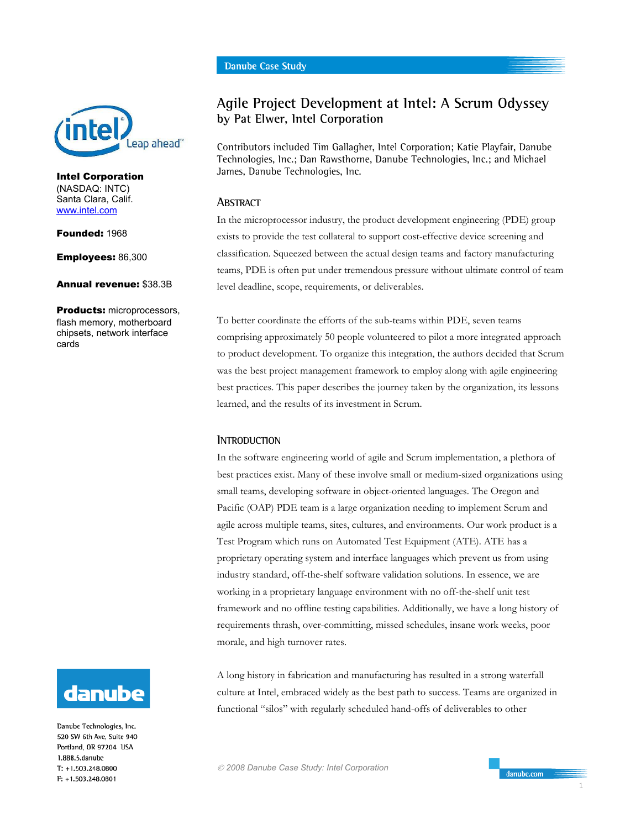

Intel Corporation (NASDAQ: INTC) Santa Clara, Calif. www.intel.com

Founded: 1968

Employees: 86,300

Annual revenue: \$38.3B

Products: microprocessors, flash memory, motherboard chipsets, network interface cards



Danube Technologies, Inc. 520 SW 6th Ave. Suite 940 Portland, OR 97204 USA 1.888.5.danube  $T: +1.503.248.0800$ F: +1.503.248.0801

# **Agile Project Development at Intel: A Scrum Odyssey by Pat Elwer, Intel Corporation**

Contributors included Tim Gallagher, Intel Corporation; Katie Playfair, Danube Technologies, Inc.; Dan Rawsthorne, Danube Technologies, Inc.; and Michael James, Danube Technologies, Inc.

# **ABSTRACT**

In the microprocessor industry, the product development engineering (PDE) group exists to provide the test collateral to support cost-effective device screening and classification. Squeezed between the actual design teams and factory manufacturing teams, PDE is often put under tremendous pressure without ultimate control of team level deadline, scope, requirements, or deliverables.

To better coordinate the efforts of the sub-teams within PDE, seven teams comprising approximately 50 people volunteered to pilot a more integrated approach to product development. To organize this integration, the authors decided that Scrum was the best project management framework to employ along with agile engineering best practices. This paper describes the journey taken by the organization, its lessons learned, and the results of its investment in Scrum.

## **INTRODUCTION**

In the software engineering world of agile and Scrum implementation, a plethora of best practices exist. Many of these involve small or medium-sized organizations using small teams, developing software in object-oriented languages. The Oregon and Pacific (OAP) PDE team is a large organization needing to implement Scrum and agile across multiple teams, sites, cultures, and environments. Our work product is a Test Program which runs on Automated Test Equipment (ATE). ATE has a proprietary operating system and interface languages which prevent us from using industry standard, off-the-shelf software validation solutions. In essence, we are working in a proprietary language environment with no off-the-shelf unit test framework and no offline testing capabilities. Additionally, we have a long history of requirements thrash, over-committing, missed schedules, insane work weeks, poor morale, and high turnover rates.

A long history in fabrication and manufacturing has resulted in a strong waterfall culture at Intel, embraced widely as the best path to success. Teams are organized in functional "silos" with regularly scheduled hand-offs of deliverables to other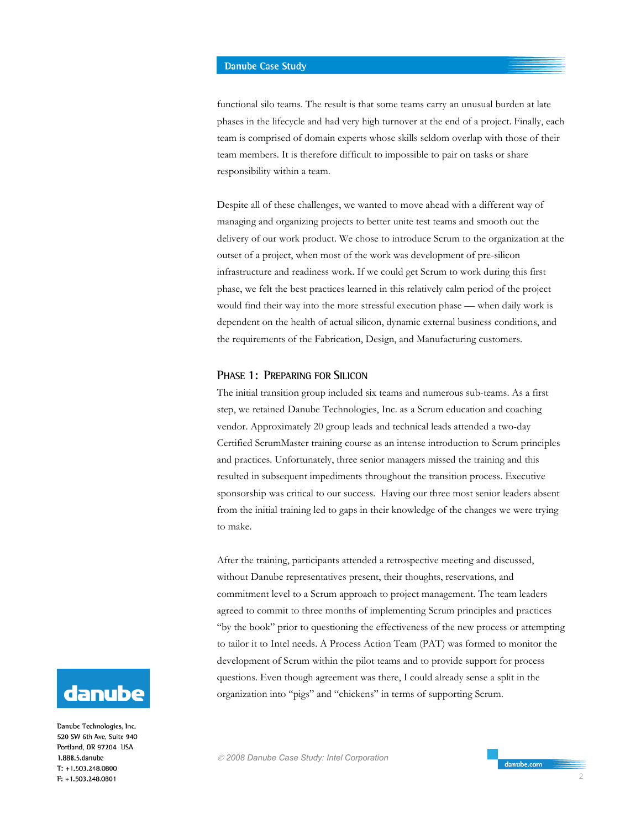functional silo teams. The result is that some teams carry an unusual burden at late phases in the lifecycle and had very high turnover at the end of a project. Finally, each team is comprised of domain experts whose skills seldom overlap with those of their team members. It is therefore difficult to impossible to pair on tasks or share responsibility within a team.

Despite all of these challenges, we wanted to move ahead with a different way of managing and organizing projects to better unite test teams and smooth out the delivery of our work product. We chose to introduce Scrum to the organization at the outset of a project, when most of the work was development of pre-silicon infrastructure and readiness work. If we could get Scrum to work during this first phase, we felt the best practices learned in this relatively calm period of the project would find their way into the more stressful execution phase — when daily work is dependent on the health of actual silicon, dynamic external business conditions, and the requirements of the Fabrication, Design, and Manufacturing customers.

## **PHASE 1: PREPARING FOR SILICON**

The initial transition group included six teams and numerous sub-teams. As a first step, we retained Danube Technologies, Inc. as a Scrum education and coaching vendor. Approximately 20 group leads and technical leads attended a two-day Certified ScrumMaster training course as an intense introduction to Scrum principles and practices. Unfortunately, three senior managers missed the training and this resulted in subsequent impediments throughout the transition process. Executive sponsorship was critical to our success. Having our three most senior leaders absent from the initial training led to gaps in their knowledge of the changes we were trying to make.

After the training, participants attended a retrospective meeting and discussed, without Danube representatives present, their thoughts, reservations, and commitment level to a Scrum approach to project management. The team leaders agreed to commit to three months of implementing Scrum principles and practices "by the book" prior to questioning the effectiveness of the new process or attempting to tailor it to Intel needs. A Process Action Team (PAT) was formed to monitor the development of Scrum within the pilot teams and to provide support for process questions. Even though agreement was there, I could already sense a split in the organization into "pigs" and "chickens" in terms of supporting Scrum.



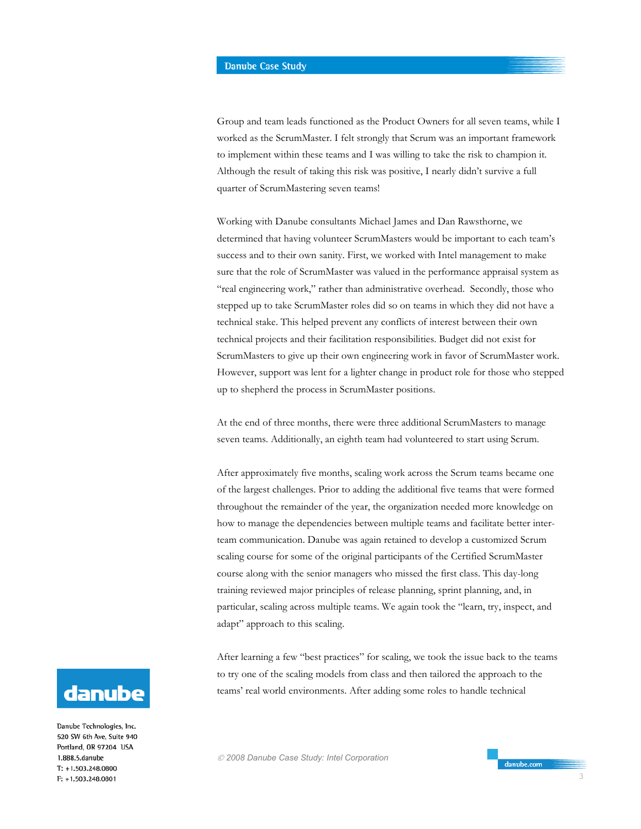Group and team leads functioned as the Product Owners for all seven teams, while I worked as the ScrumMaster. I felt strongly that Scrum was an important framework to implement within these teams and I was willing to take the risk to champion it. Although the result of taking this risk was positive, I nearly didn't survive a full quarter of ScrumMastering seven teams!

Working with Danube consultants Michael James and Dan Rawsthorne, we determined that having volunteer ScrumMasters would be important to each team's success and to their own sanity. First, we worked with Intel management to make sure that the role of ScrumMaster was valued in the performance appraisal system as "real engineering work," rather than administrative overhead. Secondly, those who stepped up to take ScrumMaster roles did so on teams in which they did not have a technical stake. This helped prevent any conflicts of interest between their own technical projects and their facilitation responsibilities. Budget did not exist for ScrumMasters to give up their own engineering work in favor of ScrumMaster work. However, support was lent for a lighter change in product role for those who stepped up to shepherd the process in ScrumMaster positions.

At the end of three months, there were three additional ScrumMasters to manage seven teams. Additionally, an eighth team had volunteered to start using Scrum.

After approximately five months, scaling work across the Scrum teams became one of the largest challenges. Prior to adding the additional five teams that were formed throughout the remainder of the year, the organization needed more knowledge on how to manage the dependencies between multiple teams and facilitate better interteam communication. Danube was again retained to develop a customized Scrum scaling course for some of the original participants of the Certified ScrumMaster course along with the senior managers who missed the first class. This day-long training reviewed major principles of release planning, sprint planning, and, in particular, scaling across multiple teams. We again took the "learn, try, inspect, and adapt" approach to this scaling.

After learning a few "best practices" for scaling, we took the issue back to the teams to try one of the scaling models from class and then tailored the approach to the teams' real world environments. After adding some roles to handle technical



Danube Technologies, Inc. 520 SW 6th Ave, Suite 940 Portland, OR 97204 USA 1.888.5.danube  $T: +1.503.248.0800$ F: +1.503.248.0801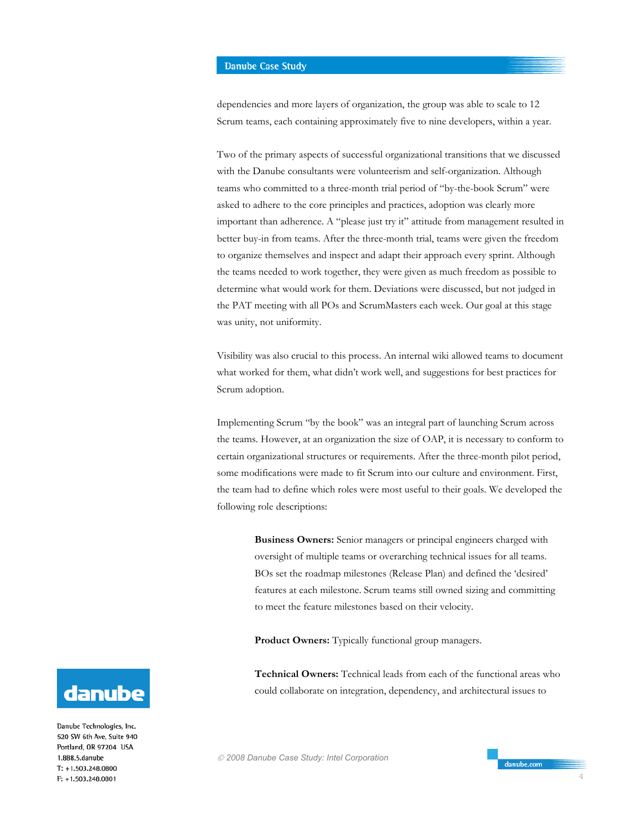dependencies and more layers of organization, the group was able to scale to 12 Scrum teams, each containing approximately five to nine developers, within a year.

Two of the primary aspects of successful organizational transitions that we discussed with the Danube consultants were volunteerism and self-organization. Although teams who committed to a three-month trial period of "by-the-book Scrum" were asked to adhere to the core principles and practices, adoption was clearly more important than adherence. A "please just try it" attitude from management resulted in better buy-in from teams. After the three-month trial, teams were given the freedom to organize themselves and inspect and adapt their approach every sprint. Although the teams needed to work together, they were given as much freedom as possible to determine what would work for them. Deviations were discussed, but not judged in the PAT meeting with all POs and ScrumMasters each week. Our goal at this stage was unity, not uniformity.

Visibility was also crucial to this process. An internal wiki allowed teams to document what worked for them, what didn't work well, and suggestions for best practices for Scrum adoption.

Implementing Scrum "by the book" was an integral part of launching Scrum across the teams. However, at an organization the size of OAP, it is necessary to conform to certain organizational structures or requirements. After the three-month pilot period, some modifications were made to fit Scrum into our culture and environment. First, the team had to define which roles were most useful to their goals. We developed the following role descriptions:

> **Business Owners:** Senior managers or principal engineers charged with oversight of multiple teams or overarching technical issues for all teams. BOs set the roadmap milestones (Release Plan) and defined the 'desired' features at each milestone. Scrum teams still owned sizing and committing to meet the feature milestones based on their velocity.

**Product Owners:** Typically functional group managers.

**Technical Owners:** Technical leads from each of the functional areas who could collaborate on integration, dependency, and architectural issues to



Danube Technologies, Inc. 520 SW 6th Ave. Suite 940 Portland, OR 97204 USA 1.888.5.danube  $T: +1.503.248.0800$ F: +1.503.248.0801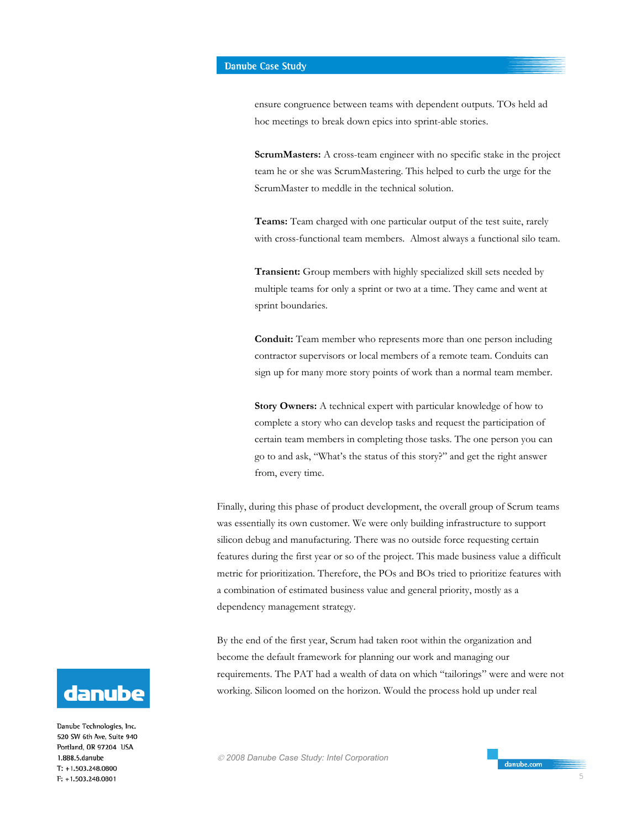ensure congruence between teams with dependent outputs. TOs held ad hoc meetings to break down epics into sprint-able stories.

**ScrumMasters:** A cross-team engineer with no specific stake in the project team he or she was ScrumMastering. This helped to curb the urge for the ScrumMaster to meddle in the technical solution.

**Teams:** Team charged with one particular output of the test suite, rarely with cross-functional team members. Almost always a functional silo team.

**Transient:** Group members with highly specialized skill sets needed by multiple teams for only a sprint or two at a time. They came and went at sprint boundaries.

**Conduit:** Team member who represents more than one person including contractor supervisors or local members of a remote team. Conduits can sign up for many more story points of work than a normal team member.

**Story Owners:** A technical expert with particular knowledge of how to complete a story who can develop tasks and request the participation of certain team members in completing those tasks. The one person you can go to and ask, "What's the status of this story?" and get the right answer from, every time.

Finally, during this phase of product development, the overall group of Scrum teams was essentially its own customer. We were only building infrastructure to support silicon debug and manufacturing. There was no outside force requesting certain features during the first year or so of the project. This made business value a difficult metric for prioritization. Therefore, the POs and BOs tried to prioritize features with a combination of estimated business value and general priority, mostly as a dependency management strategy.

By the end of the first year, Scrum had taken root within the organization and become the default framework for planning our work and managing our requirements. The PAT had a wealth of data on which "tailorings" were and were not working. Silicon loomed on the horizon. Would the process hold up under real

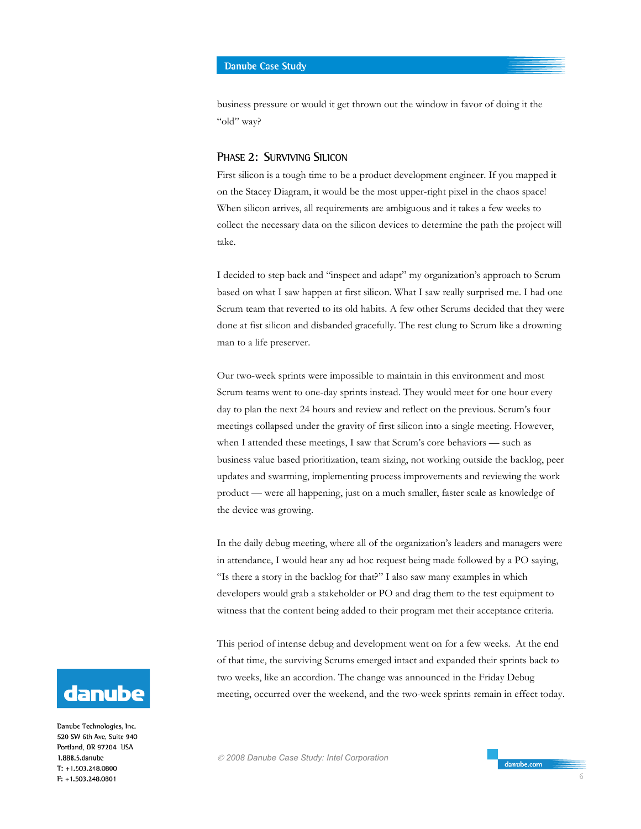business pressure or would it get thrown out the window in favor of doing it the "old" way?

## **PHASE 2: SURVIVING SILICON**

First silicon is a tough time to be a product development engineer. If you mapped it on the Stacey Diagram, it would be the most upper-right pixel in the chaos space! When silicon arrives, all requirements are ambiguous and it takes a few weeks to collect the necessary data on the silicon devices to determine the path the project will take.

I decided to step back and "inspect and adapt" my organization's approach to Scrum based on what I saw happen at first silicon. What I saw really surprised me. I had one Scrum team that reverted to its old habits. A few other Scrums decided that they were done at fist silicon and disbanded gracefully. The rest clung to Scrum like a drowning man to a life preserver.

Our two-week sprints were impossible to maintain in this environment and most Scrum teams went to one-day sprints instead. They would meet for one hour every day to plan the next 24 hours and review and reflect on the previous. Scrum's four meetings collapsed under the gravity of first silicon into a single meeting. However, when I attended these meetings, I saw that Scrum's core behaviors — such as business value based prioritization, team sizing, not working outside the backlog, peer updates and swarming, implementing process improvements and reviewing the work product — were all happening, just on a much smaller, faster scale as knowledge of the device was growing.

In the daily debug meeting, where all of the organization's leaders and managers were in attendance, I would hear any ad hoc request being made followed by a PO saying, "Is there a story in the backlog for that?" I also saw many examples in which developers would grab a stakeholder or PO and drag them to the test equipment to witness that the content being added to their program met their acceptance criteria.

This period of intense debug and development went on for a few weeks. At the end of that time, the surviving Scrums emerged intact and expanded their sprints back to two weeks, like an accordion. The change was announced in the Friday Debug meeting, occurred over the weekend, and the two-week sprints remain in effect today.



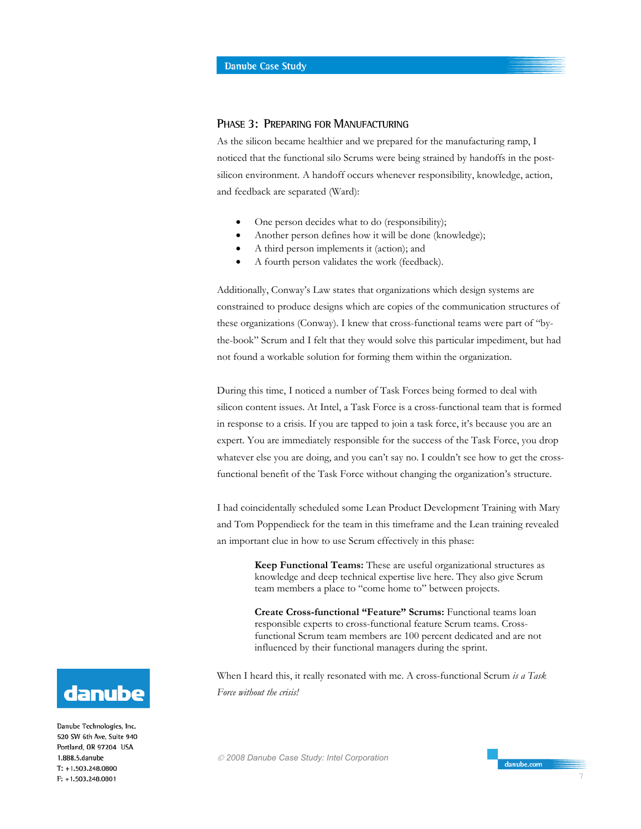# **PHASE 3: PREPARING FOR MANUFACTURING**

As the silicon became healthier and we prepared for the manufacturing ramp, I noticed that the functional silo Scrums were being strained by handoffs in the postsilicon environment. A handoff occurs whenever responsibility, knowledge, action, and feedback are separated (Ward):

- One person decides what to do (responsibility);
- Another person defines how it will be done (knowledge);
- A third person implements it (action); and
- A fourth person validates the work (feedback).

Additionally, Conway's Law states that organizations which design systems are constrained to produce designs which are copies of the communication structures of these organizations (Conway). I knew that cross-functional teams were part of "bythe-book" Scrum and I felt that they would solve this particular impediment, but had not found a workable solution for forming them within the organization.

During this time, I noticed a number of Task Forces being formed to deal with silicon content issues. At Intel, a Task Force is a cross-functional team that is formed in response to a crisis. If you are tapped to join a task force, it's because you are an expert. You are immediately responsible for the success of the Task Force, you drop whatever else you are doing, and you can't say no. I couldn't see how to get the crossfunctional benefit of the Task Force without changing the organization's structure.

I had coincidentally scheduled some Lean Product Development Training with Mary and Tom Poppendieck for the team in this timeframe and the Lean training revealed an important clue in how to use Scrum effectively in this phase:

> **Keep Functional Teams:** These are useful organizational structures as knowledge and deep technical expertise live here. They also give Scrum team members a place to "come home to" between projects.

> **Create Cross-functional "Feature" Scrums:** Functional teams loan responsible experts to cross-functional feature Scrum teams. Crossfunctional Scrum team members are 100 percent dedicated and are not influenced by their functional managers during the sprint.

When I heard this, it really resonated with me. A cross-functional Scrum *is a Task Force without the crisis!* 



Danube Technologies, Inc. 520 SW 6th Ave. Suite 940 Portland, OR 97204 USA 1.888.5.danube  $T: +1.503.248.0800$ F: +1.503.248.0801

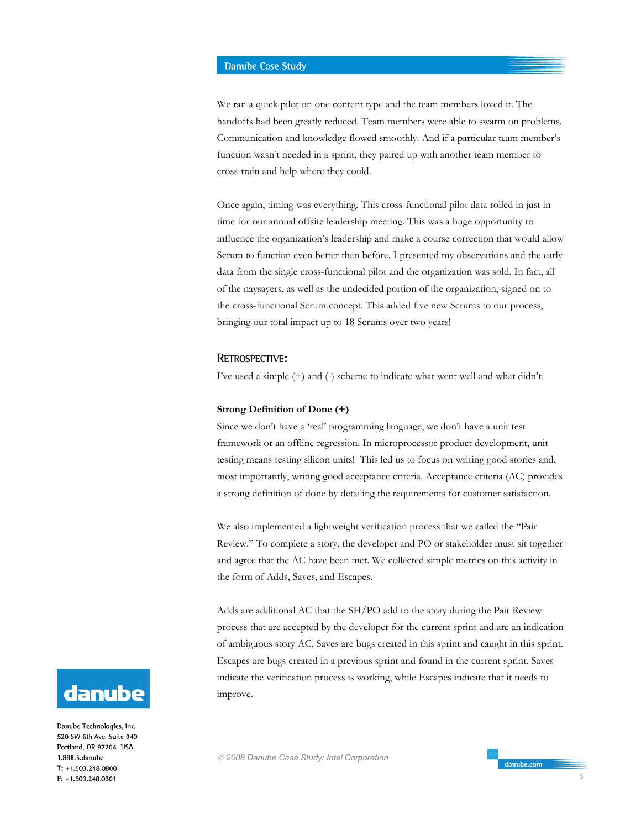We ran a quick pilot on one content type and the team members loved it. The handoffs had been greatly reduced. Team members were able to swarm on problems. Communication and knowledge flowed smoothly. And if a particular team member's function wasn't needed in a sprint, they paired up with another team member to cross-train and help where they could.

Once again, timing was everything. This cross-functional pilot data rolled in just in time for our annual offsite leadership meeting. This was a huge opportunity to influence the organization's leadership and make a course correction that would allow Scrum to function even better than before. I presented my observations and the early data from the single cross-functional pilot and the organization was sold. In fact, all of the naysayers, as well as the undecided portion of the organization, signed on to the cross-functional Scrum concept. This added five new Scrums to our process, bringing our total impact up to 18 Scrums over two years!

## **RETROSPECTIVE:**

I've used a simple (+) and (-) scheme to indicate what went well and what didn't.

#### **Strong Definition of Done (+)**

Since we don't have a 'real' programming language, we don't have a unit test framework or an offline regression. In microprocessor product development, unit testing means testing silicon units! This led us to focus on writing good stories and, most importantly, writing good acceptance criteria. Acceptance criteria (AC) provides a strong definition of done by detailing the requirements for customer satisfaction.

We also implemented a lightweight verification process that we called the "Pair Review." To complete a story, the developer and PO or stakeholder must sit together and agree that the AC have been met. We collected simple metrics on this activity in the form of Adds, Saves, and Escapes.

Adds are additional AC that the SH/PO add to the story during the Pair Review process that are accepted by the developer for the current sprint and are an indication of ambiguous story AC. Saves are bugs created in this sprint and caught in this sprint. Escapes are bugs created in a previous sprint and found in the current sprint. Saves indicate the verification process is working, while Escapes indicate that it needs to improve.



Danube Technologies, Inc. 520 SW 6th Ave, Suite 940 Portland, OR 97204 USA 1.888.5.danube  $T: +1.503.248.0800$ F: +1.503.248.0801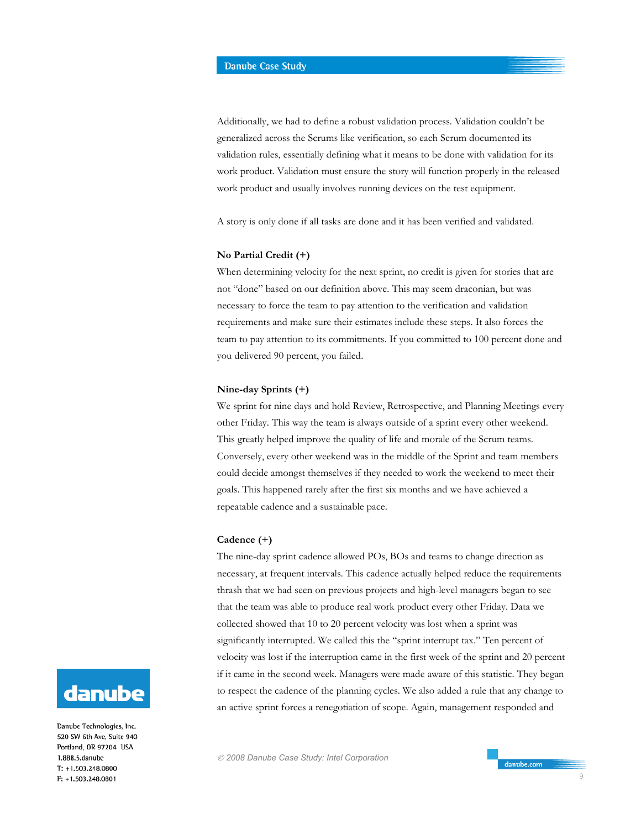Additionally, we had to define a robust validation process. Validation couldn't be generalized across the Scrums like verification, so each Scrum documented its validation rules, essentially defining what it means to be done with validation for its work product. Validation must ensure the story will function properly in the released work product and usually involves running devices on the test equipment.

A story is only done if all tasks are done and it has been verified and validated.

## **No Partial Credit (+)**

When determining velocity for the next sprint, no credit is given for stories that are not "done" based on our definition above. This may seem draconian, but was necessary to force the team to pay attention to the verification and validation requirements and make sure their estimates include these steps. It also forces the team to pay attention to its commitments. If you committed to 100 percent done and you delivered 90 percent, you failed.

#### **Nine-day Sprints (+)**

We sprint for nine days and hold Review, Retrospective, and Planning Meetings every other Friday. This way the team is always outside of a sprint every other weekend. This greatly helped improve the quality of life and morale of the Scrum teams. Conversely, every other weekend was in the middle of the Sprint and team members could decide amongst themselves if they needed to work the weekend to meet their goals. This happened rarely after the first six months and we have achieved a repeatable cadence and a sustainable pace.

#### **Cadence (+)**

The nine-day sprint cadence allowed POs, BOs and teams to change direction as necessary, at frequent intervals. This cadence actually helped reduce the requirements thrash that we had seen on previous projects and high-level managers began to see that the team was able to produce real work product every other Friday. Data we collected showed that 10 to 20 percent velocity was lost when a sprint was significantly interrupted. We called this the "sprint interrupt tax." Ten percent of velocity was lost if the interruption came in the first week of the sprint and 20 percent if it came in the second week. Managers were made aware of this statistic. They began to respect the cadence of the planning cycles. We also added a rule that any change to an active sprint forces a renegotiation of scope. Again, management responded and



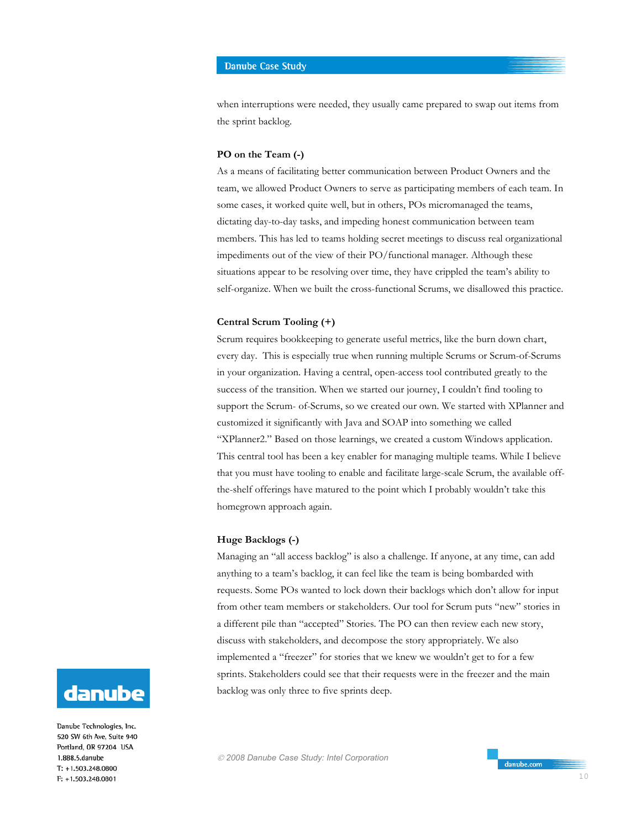when interruptions were needed, they usually came prepared to swap out items from the sprint backlog.

## **PO on the Team (-)**

As a means of facilitating better communication between Product Owners and the team, we allowed Product Owners to serve as participating members of each team. In some cases, it worked quite well, but in others, POs micromanaged the teams, dictating day-to-day tasks, and impeding honest communication between team members. This has led to teams holding secret meetings to discuss real organizational impediments out of the view of their PO/functional manager. Although these situations appear to be resolving over time, they have crippled the team's ability to self-organize. When we built the cross-functional Scrums, we disallowed this practice.

#### **Central Scrum Tooling (+)**

Scrum requires bookkeeping to generate useful metrics, like the burn down chart, every day. This is especially true when running multiple Scrums or Scrum-of-Scrums in your organization. Having a central, open-access tool contributed greatly to the success of the transition. When we started our journey, I couldn't find tooling to support the Scrum- of-Scrums, so we created our own. We started with XPlanner and customized it significantly with Java and SOAP into something we called "XPlanner2." Based on those learnings, we created a custom Windows application. This central tool has been a key enabler for managing multiple teams. While I believe that you must have tooling to enable and facilitate large-scale Scrum, the available offthe-shelf offerings have matured to the point which I probably wouldn't take this homegrown approach again.

## **Huge Backlogs (-)**

Managing an "all access backlog" is also a challenge. If anyone, at any time, can add anything to a team's backlog, it can feel like the team is being bombarded with requests. Some POs wanted to lock down their backlogs which don't allow for input from other team members or stakeholders. Our tool for Scrum puts "new" stories in a different pile than "accepted" Stories. The PO can then review each new story, discuss with stakeholders, and decompose the story appropriately. We also implemented a "freezer" for stories that we knew we wouldn't get to for a few sprints. Stakeholders could see that their requests were in the freezer and the main backlog was only three to five sprints deep.

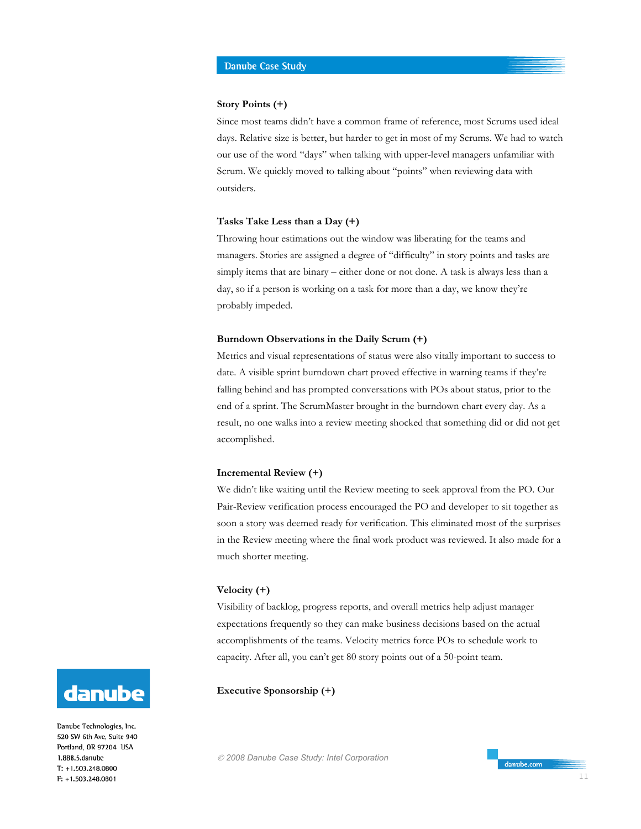#### **Story Points (+)**

Since most teams didn't have a common frame of reference, most Scrums used ideal days. Relative size is better, but harder to get in most of my Scrums. We had to watch our use of the word "days" when talking with upper-level managers unfamiliar with Scrum. We quickly moved to talking about "points" when reviewing data with outsiders.

#### **Tasks Take Less than a Day (+)**

Throwing hour estimations out the window was liberating for the teams and managers. Stories are assigned a degree of "difficulty" in story points and tasks are simply items that are binary – either done or not done. A task is always less than a day, so if a person is working on a task for more than a day, we know they're probably impeded.

#### **Burndown Observations in the Daily Scrum (+)**

Metrics and visual representations of status were also vitally important to success to date. A visible sprint burndown chart proved effective in warning teams if they're falling behind and has prompted conversations with POs about status, prior to the end of a sprint. The ScrumMaster brought in the burndown chart every day. As a result, no one walks into a review meeting shocked that something did or did not get accomplished.

## **Incremental Review (+)**

We didn't like waiting until the Review meeting to seek approval from the PO. Our Pair-Review verification process encouraged the PO and developer to sit together as soon a story was deemed ready for verification. This eliminated most of the surprises in the Review meeting where the final work product was reviewed. It also made for a much shorter meeting.

#### **Velocity (+)**

Visibility of backlog, progress reports, and overall metrics help adjust manager expectations frequently so they can make business decisions based on the actual accomplishments of the teams. Velocity metrics force POs to schedule work to capacity. After all, you can't get 80 story points out of a 50-point team.

## **Executive Sponsorship (+)**





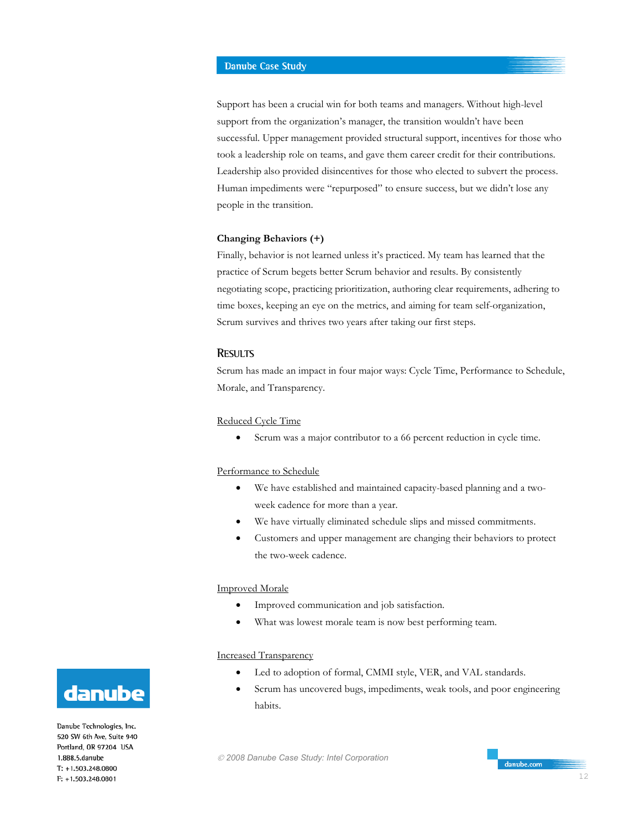Support has been a crucial win for both teams and managers. Without high-level support from the organization's manager, the transition wouldn't have been successful. Upper management provided structural support, incentives for those who took a leadership role on teams, and gave them career credit for their contributions. Leadership also provided disincentives for those who elected to subvert the process. Human impediments were "repurposed" to ensure success, but we didn't lose any people in the transition.

#### **Changing Behaviors (+)**

Finally, behavior is not learned unless it's practiced. My team has learned that the practice of Scrum begets better Scrum behavior and results. By consistently negotiating scope, practicing prioritization, authoring clear requirements, adhering to time boxes, keeping an eye on the metrics, and aiming for team self-organization, Scrum survives and thrives two years after taking our first steps.

#### **RESULTS**

Scrum has made an impact in four major ways: Cycle Time, Performance to Schedule, Morale, and Transparency.

# Reduced Cycle Time

• Scrum was a major contributor to a 66 percent reduction in cycle time.

#### Performance to Schedule

- We have established and maintained capacity-based planning and a twoweek cadence for more than a year.
- We have virtually eliminated schedule slips and missed commitments.
- Customers and upper management are changing their behaviors to protect the two-week cadence.

#### Improved Morale

- Improved communication and job satisfaction.
- What was lowest morale team is now best performing team.

#### Increased Transparency

- Led to adoption of formal, CMMI style, VER, and VAL standards.
- Scrum has uncovered bugs, impediments, weak tools, and poor engineering habits.

 *2008 Danube Case Study: Intel Corporation* 



Danube Technologies, Inc. 520 SW 6th Ave. Suite 940 Portland, OR 97204 USA 1.888.5.danube  $T: +1.503.248.0800$ F: +1.503.248.0801

danube.com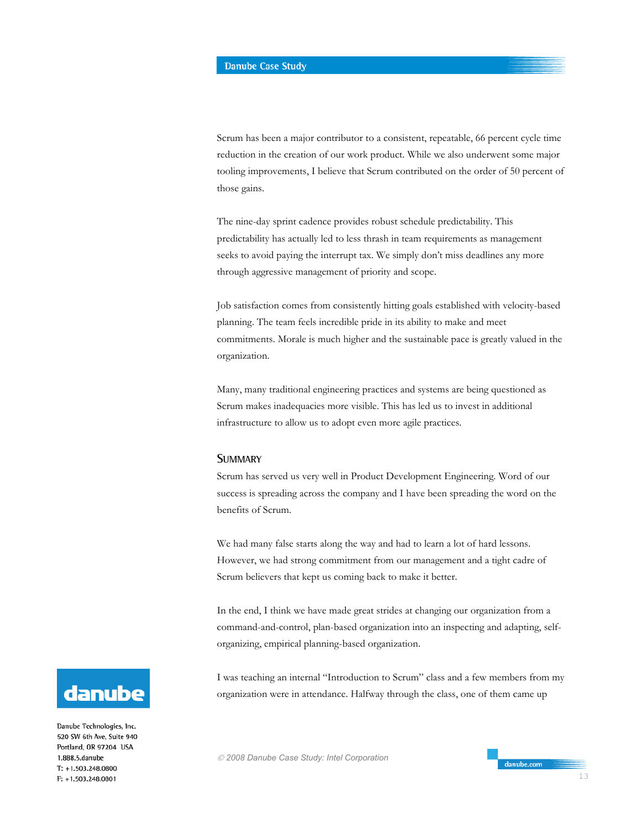Scrum has been a major contributor to a consistent, repeatable, 66 percent cycle time reduction in the creation of our work product. While we also underwent some major tooling improvements, I believe that Scrum contributed on the order of 50 percent of those gains.

The nine-day sprint cadence provides robust schedule predictability. This predictability has actually led to less thrash in team requirements as management seeks to avoid paying the interrupt tax. We simply don't miss deadlines any more through aggressive management of priority and scope.

Job satisfaction comes from consistently hitting goals established with velocity-based planning. The team feels incredible pride in its ability to make and meet commitments. Morale is much higher and the sustainable pace is greatly valued in the organization.

Many, many traditional engineering practices and systems are being questioned as Scrum makes inadequacies more visible. This has led us to invest in additional infrastructure to allow us to adopt even more agile practices.

## **SUMMARY**

Scrum has served us very well in Product Development Engineering. Word of our success is spreading across the company and I have been spreading the word on the benefits of Scrum.

We had many false starts along the way and had to learn a lot of hard lessons. However, we had strong commitment from our management and a tight cadre of Scrum believers that kept us coming back to make it better.

In the end, I think we have made great strides at changing our organization from a command-and-control, plan-based organization into an inspecting and adapting, selforganizing, empirical planning-based organization.

I was teaching an internal "Introduction to Scrum" class and a few members from my organization were in attendance. Halfway through the class, one of them came up



Danube Technologies, Inc. 520 SW 6th Ave, Suite 940 Portland, OR 97204 USA 1.888.5.danube  $T: +1.503.248.0800$ F: +1.503.248.0801